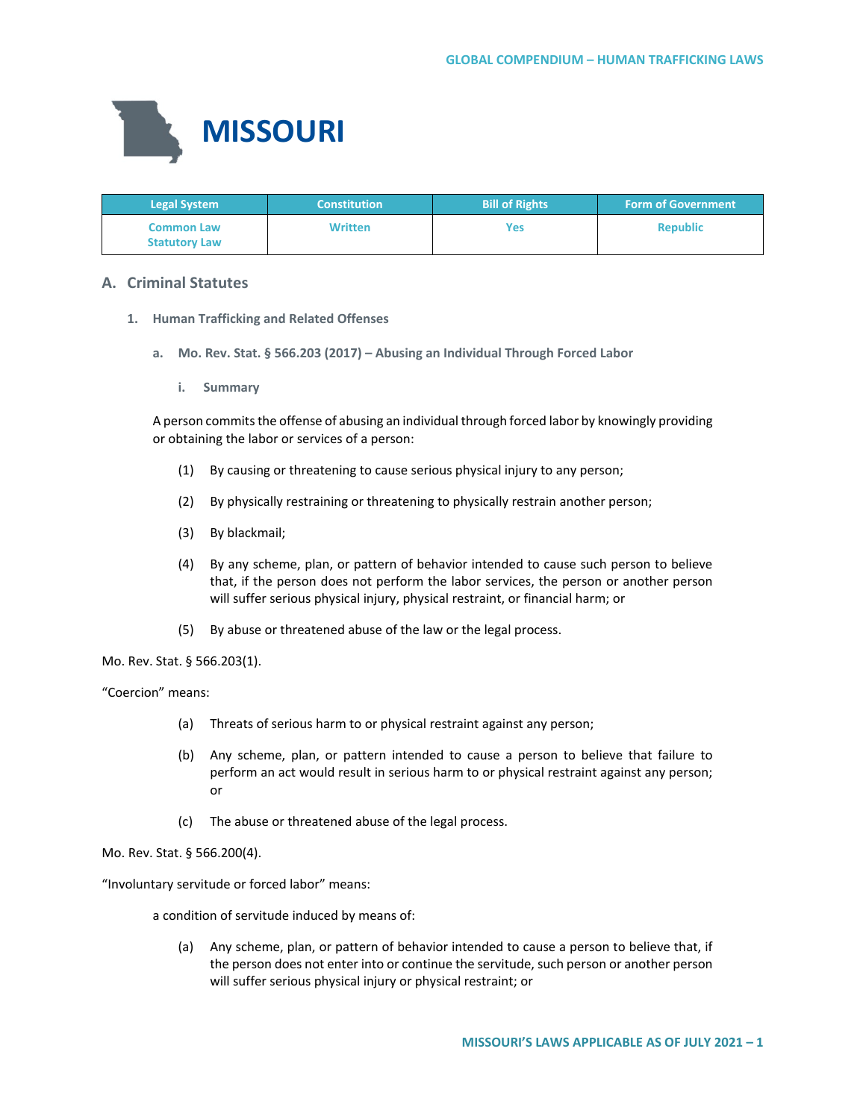

| <b>Legal System</b>                       | <b>Constitution</b> | <b>Bill of Rights</b> | <b>Form of Government</b> |
|-------------------------------------------|---------------------|-----------------------|---------------------------|
| <b>Common Law</b><br><b>Statutory Law</b> | <b>Written</b>      | Yes                   | <b>Republic</b>           |

# **A. Criminal Statutes**

- **1. Human Trafficking and Related Offenses**
	- **a. Mo. Rev. Stat. § 566.203 (2017) – Abusing an Individual Through Forced Labor**
		- **i. Summary**

A person commits the offense of abusing an individual through forced labor by knowingly providing or obtaining the labor or services of a person:

- (1) By causing or threatening to cause serious physical injury to any person;
- (2) By physically restraining or threatening to physically restrain another person;
- (3) By blackmail;
- (4) By any scheme, plan, or pattern of behavior intended to cause such person to believe that, if the person does not perform the labor services, the person or another person will suffer serious physical injury, physical restraint, or financial harm; or
- (5) By abuse or threatened abuse of the law or the legal process.

Mo. Rev. Stat. § 566.203(1).

"Coercion" means:

- (a) Threats of serious harm to or physical restraint against any person;
- (b) Any scheme, plan, or pattern intended to cause a person to believe that failure to perform an act would result in serious harm to or physical restraint against any person; or
- (c) The abuse or threatened abuse of the legal process.

Mo. Rev. Stat. § 566.200(4).

"Involuntary servitude or forced labor" means:

a condition of servitude induced by means of:

(a) Any scheme, plan, or pattern of behavior intended to cause a person to believe that, if the person does not enter into or continue the servitude, such person or another person will suffer serious physical injury or physical restraint; or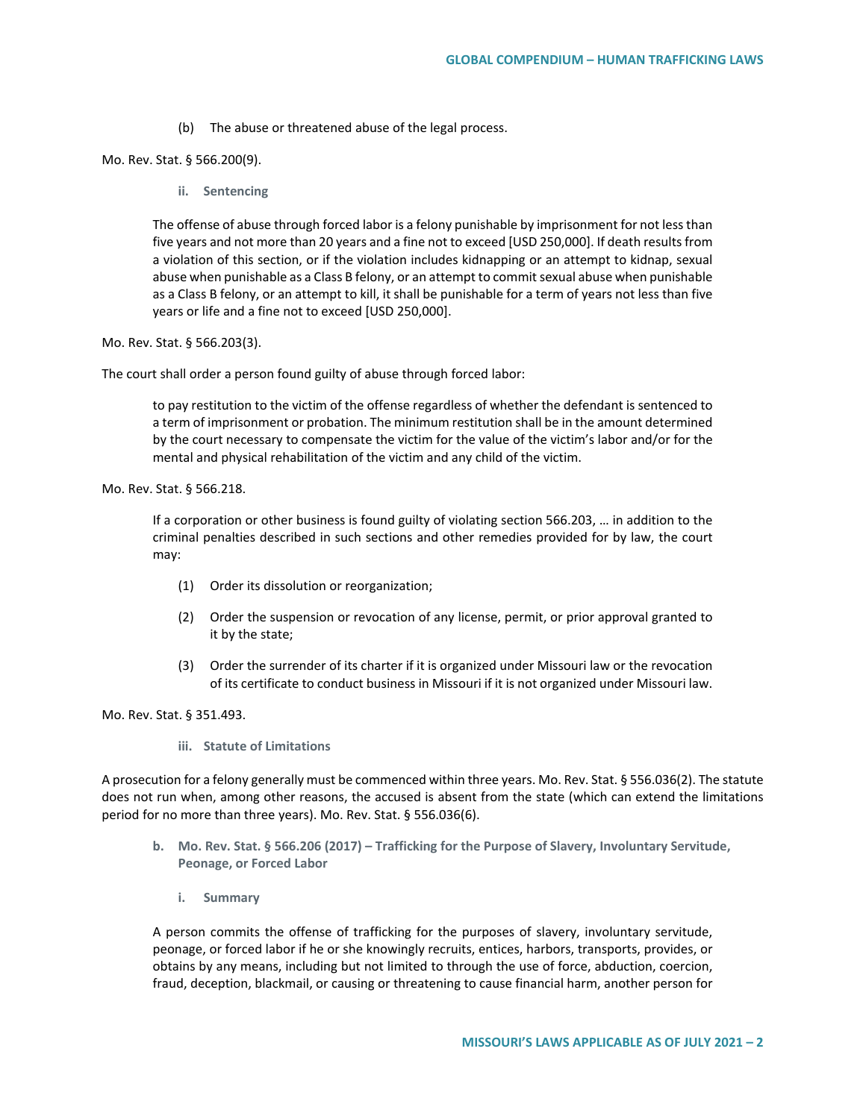(b) The abuse or threatened abuse of the legal process.

Mo. Rev. Stat. § 566.200(9).

**ii. Sentencing**

The offense of abuse through forced labor is a felony punishable by imprisonment for not less than five years and not more than 20 years and a fine not to exceed [USD 250,000]. If death results from a violation of this section, or if the violation includes kidnapping or an attempt to kidnap, sexual abuse when punishable as a Class B felony, or an attempt to commit sexual abuse when punishable as a Class B felony, or an attempt to kill, it shall be punishable for a term of years not less than five years or life and a fine not to exceed [USD 250,000].

Mo. Rev. Stat. § 566.203(3).

The court shall order a person found guilty of abuse through forced labor:

to pay restitution to the victim of the offense regardless of whether the defendant is sentenced to a term of imprisonment or probation. The minimum restitution shall be in the amount determined by the court necessary to compensate the victim for the value of the victim's labor and/or for the mental and physical rehabilitation of the victim and any child of the victim.

Mo. Rev. Stat. § 566.218.

If a corporation or other business is found guilty of violating section 566.203, … in addition to the criminal penalties described in such sections and other remedies provided for by law, the court may:

- (1) Order its dissolution or reorganization;
- (2) Order the suspension or revocation of any license, permit, or prior approval granted to it by the state;
- (3) Order the surrender of its charter if it is organized under Missouri law or the revocation of its certificate to conduct business in Missouri if it is not organized under Missouri law.

Mo. Rev. Stat. § 351.493.

**iii. Statute of Limitations**

A prosecution for a felony generally must be commenced within three years. Mo. Rev. Stat. § 556.036(2). The statute does not run when, among other reasons, the accused is absent from the state (which can extend the limitations period for no more than three years). Mo. Rev. Stat. § 556.036(6).

- **b. Mo. Rev. Stat. § 566.206 (2017) – Trafficking for the Purpose of Slavery, Involuntary Servitude, Peonage, or Forced Labor**
	- **i. Summary**

A person commits the offense of trafficking for the purposes of slavery, involuntary servitude, peonage, or forced labor if he or she knowingly recruits, entices, harbors, transports, provides, or obtains by any means, including but not limited to through the use of force, abduction, coercion, fraud, deception, blackmail, or causing or threatening to cause financial harm, another person for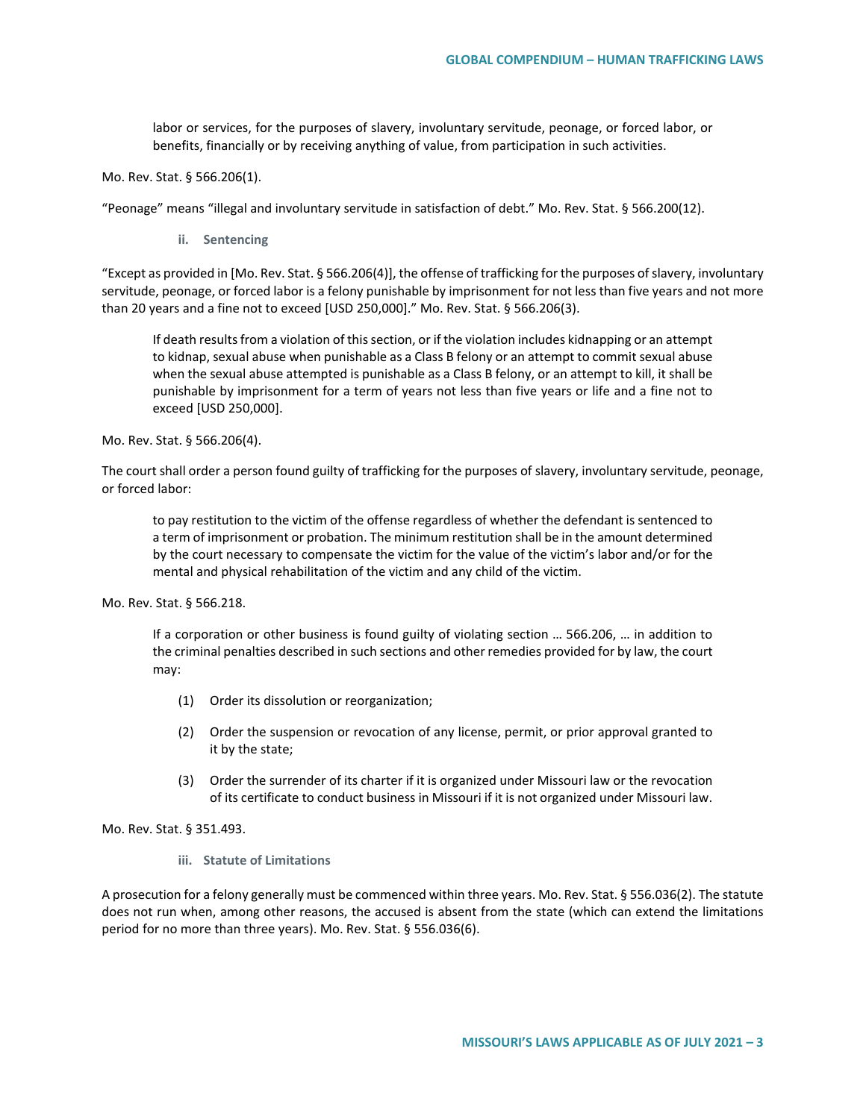labor or services, for the purposes of slavery, involuntary servitude, peonage, or forced labor, or benefits, financially or by receiving anything of value, from participation in such activities.

Mo. Rev. Stat. § 566.206(1).

"Peonage" means "illegal and involuntary servitude in satisfaction of debt." Mo. Rev. Stat. § 566.200(12).

**ii. Sentencing**

"Except as provided in [Mo. Rev. Stat. § 566.206(4)], the offense of trafficking for the purposes of slavery, involuntary servitude, peonage, or forced labor is a felony punishable by imprisonment for not less than five years and not more than 20 years and a fine not to exceed [USD 250,000]." Mo. Rev. Stat. § 566.206(3).

If death results from a violation of this section, or if the violation includes kidnapping or an attempt to kidnap, sexual abuse when punishable as a Class B felony or an attempt to commit sexual abuse when the sexual abuse attempted is punishable as a Class B felony, or an attempt to kill, it shall be punishable by imprisonment for a term of years not less than five years or life and a fine not to exceed [USD 250,000].

Mo. Rev. Stat. § 566.206(4).

The court shall order a person found guilty of trafficking for the purposes of slavery, involuntary servitude, peonage, or forced labor:

to pay restitution to the victim of the offense regardless of whether the defendant is sentenced to a term of imprisonment or probation. The minimum restitution shall be in the amount determined by the court necessary to compensate the victim for the value of the victim's labor and/or for the mental and physical rehabilitation of the victim and any child of the victim.

Mo. Rev. Stat. § 566.218.

If a corporation or other business is found guilty of violating section … 566.206, … in addition to the criminal penalties described in such sections and other remedies provided for by law, the court may:

- (1) Order its dissolution or reorganization;
- (2) Order the suspension or revocation of any license, permit, or prior approval granted to it by the state;
- (3) Order the surrender of its charter if it is organized under Missouri law or the revocation of its certificate to conduct business in Missouri if it is not organized under Missouri law.

Mo. Rev. Stat. § 351.493.

**iii. Statute of Limitations**

A prosecution for a felony generally must be commenced within three years. Mo. Rev. Stat. § 556.036(2). The statute does not run when, among other reasons, the accused is absent from the state (which can extend the limitations period for no more than three years). Mo. Rev. Stat. § 556.036(6).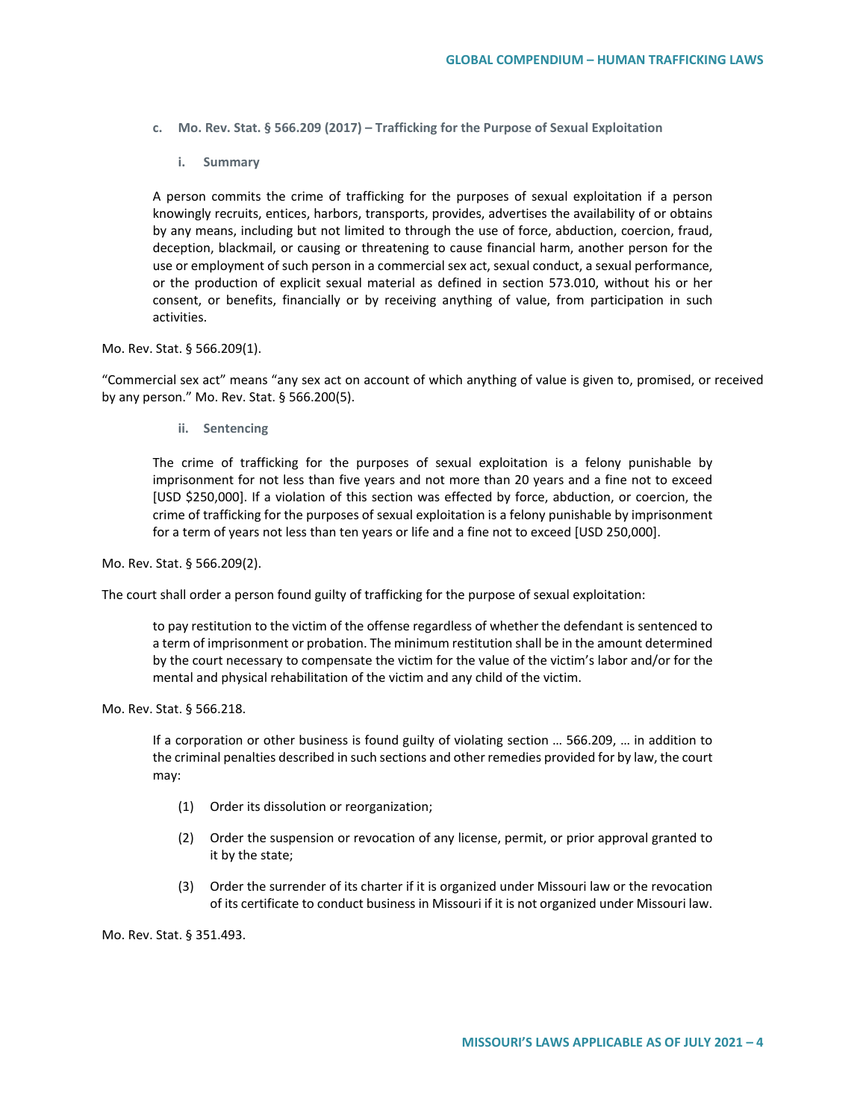- **c. Mo. Rev. Stat. § 566.209 (2017) – Trafficking for the Purpose of Sexual Exploitation**
	- **i. Summary**

A person commits the crime of trafficking for the purposes of sexual exploitation if a person knowingly recruits, entices, harbors, transports, provides, advertises the availability of or obtains by any means, including but not limited to through the use of force, abduction, coercion, fraud, deception, blackmail, or causing or threatening to cause financial harm, another person for the use or employment of such person in a commercial sex act, sexual conduct, a sexual performance, or the production of explicit sexual material as defined in section 573.010, without his or her consent, or benefits, financially or by receiving anything of value, from participation in such activities.

### Mo. Rev. Stat. § 566.209(1).

"Commercial sex act" means "any sex act on account of which anything of value is given to, promised, or received by any person." Mo. Rev. Stat. § 566.200(5).

**ii. Sentencing**

The crime of trafficking for the purposes of sexual exploitation is a felony punishable by imprisonment for not less than five years and not more than 20 years and a fine not to exceed [USD \$250,000]. If a violation of this section was effected by force, abduction, or coercion, the crime of trafficking for the purposes of sexual exploitation is a felony punishable by imprisonment for a term of years not less than ten years or life and a fine not to exceed [USD 250,000].

Mo. Rev. Stat. § 566.209(2).

The court shall order a person found guilty of trafficking for the purpose of sexual exploitation:

to pay restitution to the victim of the offense regardless of whether the defendant is sentenced to a term of imprisonment or probation. The minimum restitution shall be in the amount determined by the court necessary to compensate the victim for the value of the victim's labor and/or for the mental and physical rehabilitation of the victim and any child of the victim.

Mo. Rev. Stat. § 566.218.

If a corporation or other business is found guilty of violating section … 566.209, … in addition to the criminal penalties described in such sections and other remedies provided for by law, the court may:

- (1) Order its dissolution or reorganization;
- (2) Order the suspension or revocation of any license, permit, or prior approval granted to it by the state;
- (3) Order the surrender of its charter if it is organized under Missouri law or the revocation of its certificate to conduct business in Missouri if it is not organized under Missouri law.

Mo. Rev. Stat. § 351.493.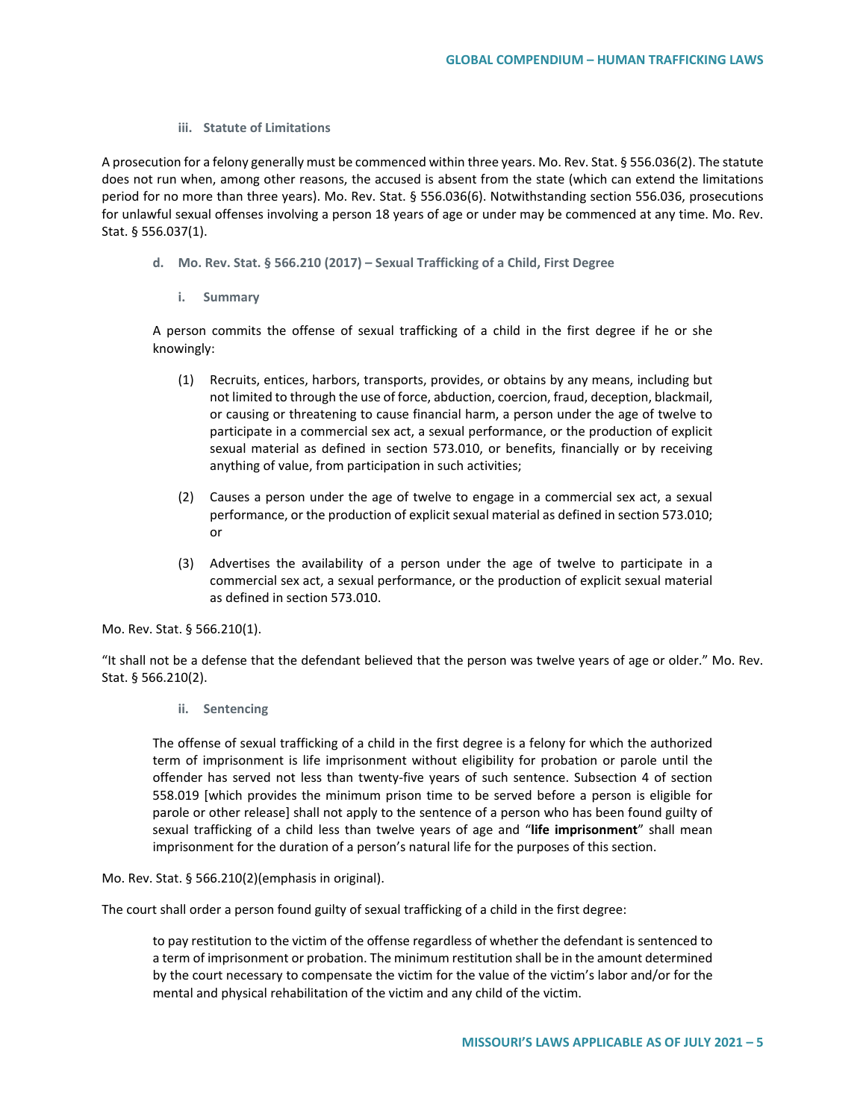## **iii. Statute of Limitations**

A prosecution for a felony generally must be commenced within three years. Mo. Rev. Stat. § 556.036(2). The statute does not run when, among other reasons, the accused is absent from the state (which can extend the limitations period for no more than three years). Mo. Rev. Stat. § 556.036(6). Notwithstanding section 556.036, prosecutions for unlawful sexual offenses involving a person 18 years of age or under may be commenced at any time. Mo. Rev. Stat. § 556.037(1).

- **d. Mo. Rev. Stat. § 566.210 (2017) – Sexual Trafficking of a Child, First Degree**
	- **i. Summary**

A person commits the offense of sexual trafficking of a child in the first degree if he or she knowingly:

- (1) Recruits, entices, harbors, transports, provides, or obtains by any means, including but not limited to through the use of force, abduction, coercion, fraud, deception, blackmail, or causing or threatening to cause financial harm, a person under the age of twelve to participate in a commercial sex act, a sexual performance, or the production of explicit sexual material as defined in section 573.010, or benefits, financially or by receiving anything of value, from participation in such activities;
- (2) Causes a person under the age of twelve to engage in a commercial sex act, a sexual performance, or the production of explicit sexual material as defined in section 573.010; or
- (3) Advertises the availability of a person under the age of twelve to participate in a commercial sex act, a sexual performance, or the production of explicit sexual material as defined in section 573.010.

Mo. Rev. Stat. § 566.210(1).

"It shall not be a defense that the defendant believed that the person was twelve years of age or older." Mo. Rev. Stat. § 566.210(2).

**ii. Sentencing**

The offense of sexual trafficking of a child in the first degree is a felony for which the authorized term of imprisonment is life imprisonment without eligibility for probation or parole until the offender has served not less than twenty-five years of such sentence. Subsection 4 of section 558.019 [which provides the minimum prison time to be served before a person is eligible for parole or other release] shall not apply to the sentence of a person who has been found guilty of sexual trafficking of a child less than twelve years of age and "**life imprisonment**" shall mean imprisonment for the duration of a person's natural life for the purposes of this section.

Mo. Rev. Stat. § 566.210(2)(emphasis in original).

The court shall order a person found guilty of sexual trafficking of a child in the first degree:

to pay restitution to the victim of the offense regardless of whether the defendant is sentenced to a term of imprisonment or probation. The minimum restitution shall be in the amount determined by the court necessary to compensate the victim for the value of the victim's labor and/or for the mental and physical rehabilitation of the victim and any child of the victim.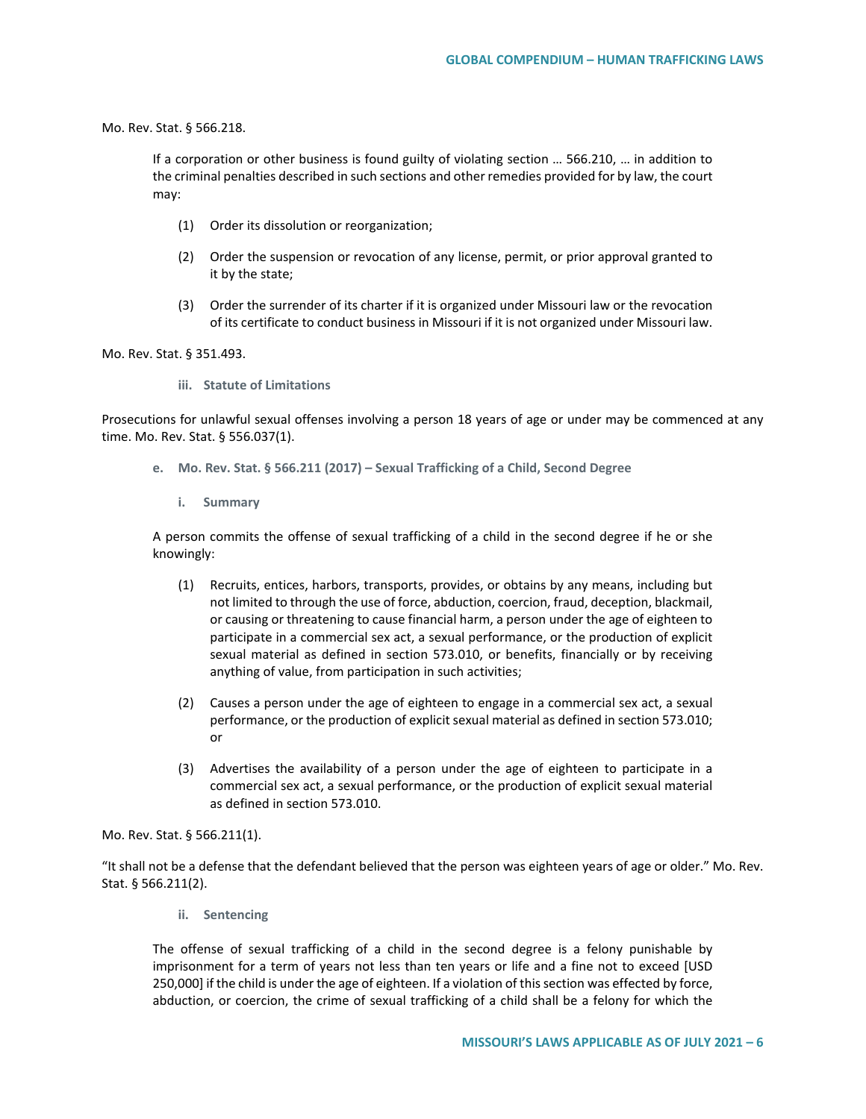Mo. Rev. Stat. § 566.218.

If a corporation or other business is found guilty of violating section … 566.210, … in addition to the criminal penalties described in such sections and other remedies provided for by law, the court may:

- (1) Order its dissolution or reorganization;
- (2) Order the suspension or revocation of any license, permit, or prior approval granted to it by the state;
- (3) Order the surrender of its charter if it is organized under Missouri law or the revocation of its certificate to conduct business in Missouri if it is not organized under Missouri law.

Mo. Rev. Stat. § 351.493.

**iii. Statute of Limitations**

Prosecutions for unlawful sexual offenses involving a person 18 years of age or under may be commenced at any time. Mo. Rev. Stat. § 556.037(1).

- **e. Mo. Rev. Stat. § 566.211 (2017) – Sexual Trafficking of a Child, Second Degree**
	- **i. Summary**

A person commits the offense of sexual trafficking of a child in the second degree if he or she knowingly:

- (1) Recruits, entices, harbors, transports, provides, or obtains by any means, including but not limited to through the use of force, abduction, coercion, fraud, deception, blackmail, or causing or threatening to cause financial harm, a person under the age of eighteen to participate in a commercial sex act, a sexual performance, or the production of explicit sexual material as defined in section 573.010, or benefits, financially or by receiving anything of value, from participation in such activities;
- (2) Causes a person under the age of eighteen to engage in a commercial sex act, a sexual performance, or the production of explicit sexual material as defined in section 573.010; or
- (3) Advertises the availability of a person under the age of eighteen to participate in a commercial sex act, a sexual performance, or the production of explicit sexual material as defined in section 573.010.

Mo. Rev. Stat. § 566.211(1).

"It shall not be a defense that the defendant believed that the person was eighteen years of age or older." Mo. Rev. Stat. § 566.211(2).

**ii. Sentencing**

The offense of sexual trafficking of a child in the second degree is a felony punishable by imprisonment for a term of years not less than ten years or life and a fine not to exceed [USD 250,000] if the child is under the age of eighteen. If a violation of this section was effected by force, abduction, or coercion, the crime of sexual trafficking of a child shall be a felony for which the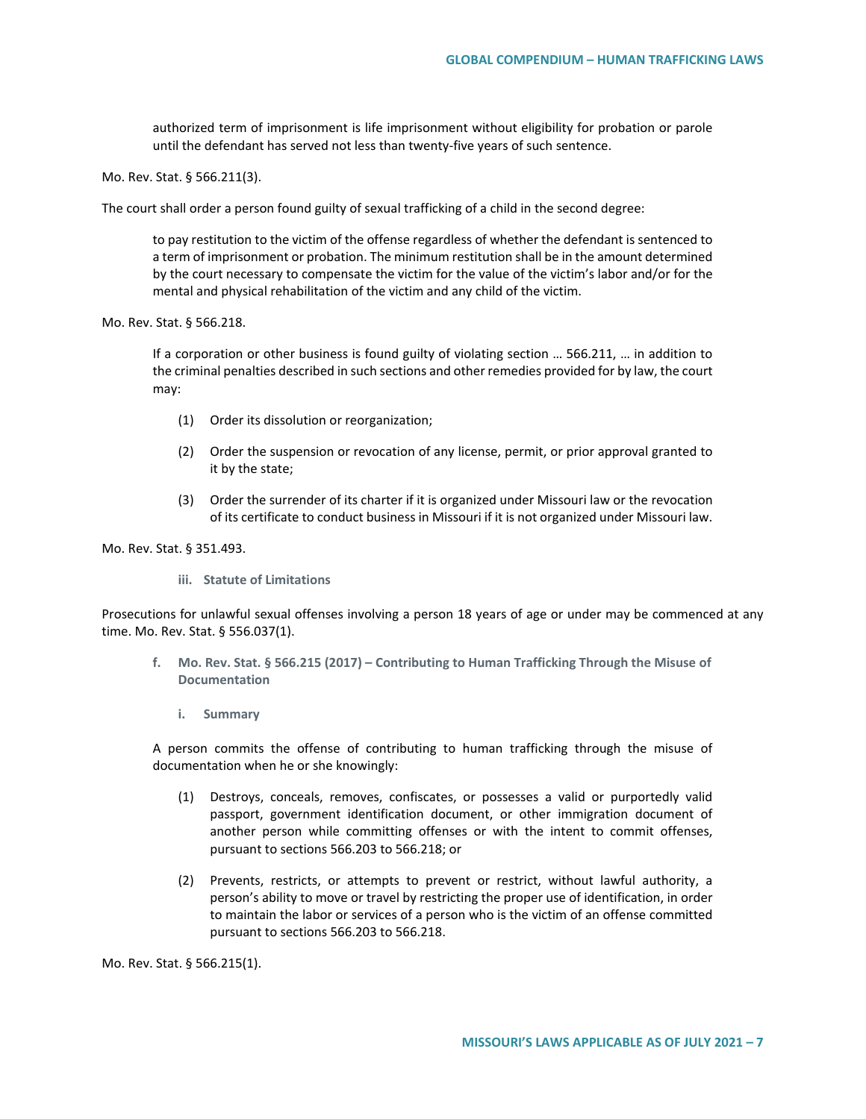authorized term of imprisonment is life imprisonment without eligibility for probation or parole until the defendant has served not less than twenty-five years of such sentence.

Mo. Rev. Stat. § 566.211(3).

The court shall order a person found guilty of sexual trafficking of a child in the second degree:

to pay restitution to the victim of the offense regardless of whether the defendant is sentenced to a term of imprisonment or probation. The minimum restitution shall be in the amount determined by the court necessary to compensate the victim for the value of the victim's labor and/or for the mental and physical rehabilitation of the victim and any child of the victim.

Mo. Rev. Stat. § 566.218.

If a corporation or other business is found guilty of violating section … 566.211, … in addition to the criminal penalties described in such sections and other remedies provided for by law, the court may:

- (1) Order its dissolution or reorganization;
- (2) Order the suspension or revocation of any license, permit, or prior approval granted to it by the state;
- (3) Order the surrender of its charter if it is organized under Missouri law or the revocation of its certificate to conduct business in Missouri if it is not organized under Missouri law.

Mo. Rev. Stat. § 351.493.

**iii. Statute of Limitations**

Prosecutions for unlawful sexual offenses involving a person 18 years of age or under may be commenced at any time. Mo. Rev. Stat. § 556.037(1).

- **f. Mo. Rev. Stat. § 566.215 (2017) – Contributing to Human Trafficking Through the Misuse of Documentation**
	- **i. Summary**

A person commits the offense of contributing to human trafficking through the misuse of documentation when he or she knowingly:

- (1) Destroys, conceals, removes, confiscates, or possesses a valid or purportedly valid passport, government identification document, or other immigration document of another person while committing offenses or with the intent to commit offenses, pursuant to sections 566.203 to 566.218; or
- (2) Prevents, restricts, or attempts to prevent or restrict, without lawful authority, a person's ability to move or travel by restricting the proper use of identification, in order to maintain the labor or services of a person who is the victim of an offense committed pursuant to sections 566.203 to 566.218.

Mo. Rev. Stat. § 566.215(1).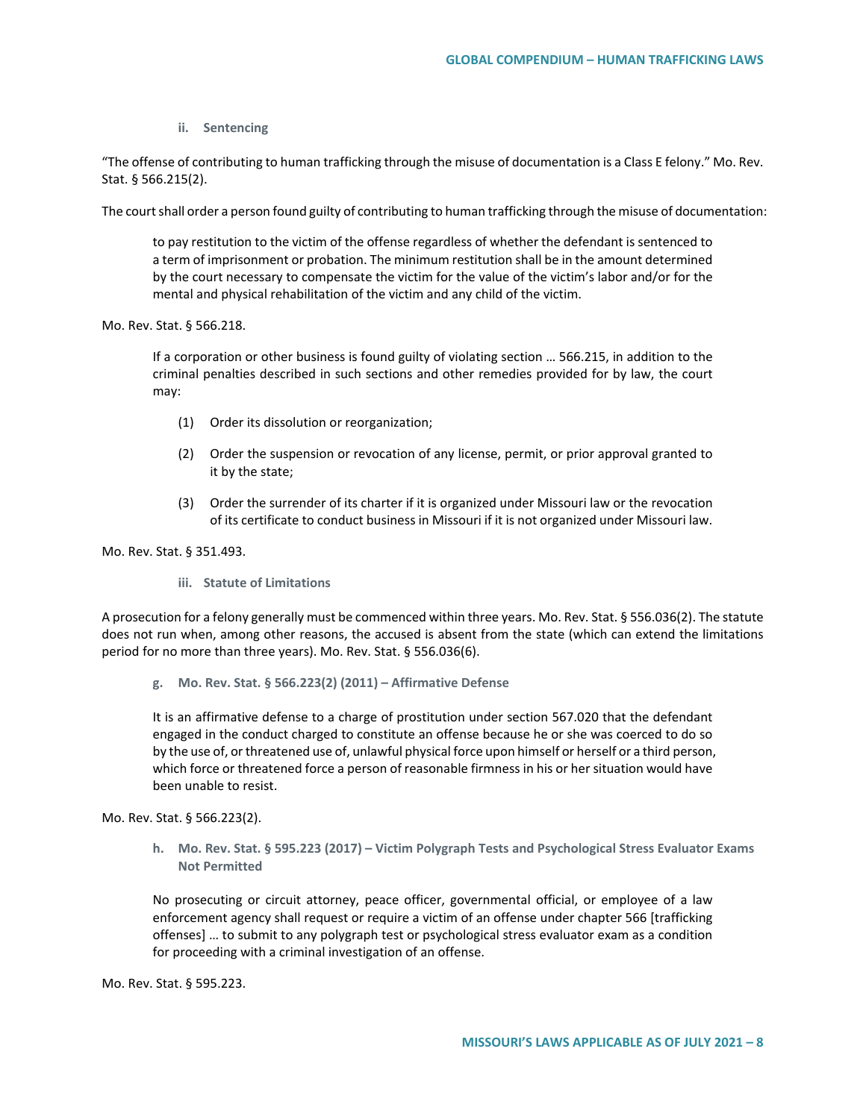## **ii. Sentencing**

"The offense of contributing to human trafficking through the misuse of documentation is a Class E felony." Mo. Rev. Stat. § 566.215(2).

The court shall order a person found guilty of contributing to human trafficking through the misuse of documentation:

to pay restitution to the victim of the offense regardless of whether the defendant is sentenced to a term of imprisonment or probation. The minimum restitution shall be in the amount determined by the court necessary to compensate the victim for the value of the victim's labor and/or for the mental and physical rehabilitation of the victim and any child of the victim.

Mo. Rev. Stat. § 566.218.

If a corporation or other business is found guilty of violating section … 566.215, in addition to the criminal penalties described in such sections and other remedies provided for by law, the court may:

- (1) Order its dissolution or reorganization;
- (2) Order the suspension or revocation of any license, permit, or prior approval granted to it by the state;
- (3) Order the surrender of its charter if it is organized under Missouri law or the revocation of its certificate to conduct business in Missouri if it is not organized under Missouri law.

Mo. Rev. Stat. § 351.493.

**iii. Statute of Limitations**

A prosecution for a felony generally must be commenced within three years. Mo. Rev. Stat. § 556.036(2). The statute does not run when, among other reasons, the accused is absent from the state (which can extend the limitations period for no more than three years). Mo. Rev. Stat. § 556.036(6).

**g. Mo. Rev. Stat. § 566.223(2) (2011) – Affirmative Defense** 

It is an affirmative defense to a charge of prostitution under section 567.020 that the defendant engaged in the conduct charged to constitute an offense because he or she was coerced to do so by the use of, or threatened use of, unlawful physical force upon himself or herself or a third person, which force or threatened force a person of reasonable firmness in his or her situation would have been unable to resist.

Mo. Rev. Stat. § 566.223(2).

**h. Mo. Rev. Stat. § 595.223 (2017) – Victim Polygraph Tests and Psychological Stress Evaluator Exams Not Permitted**

No prosecuting or circuit attorney, peace officer, governmental official, or employee of a law enforcement agency shall request or require a victim of an offense under chapter 566 [trafficking offenses] … to submit to any polygraph test or psychological stress evaluator exam as a condition for proceeding with a criminal investigation of an offense.

Mo. Rev. Stat. § 595.223.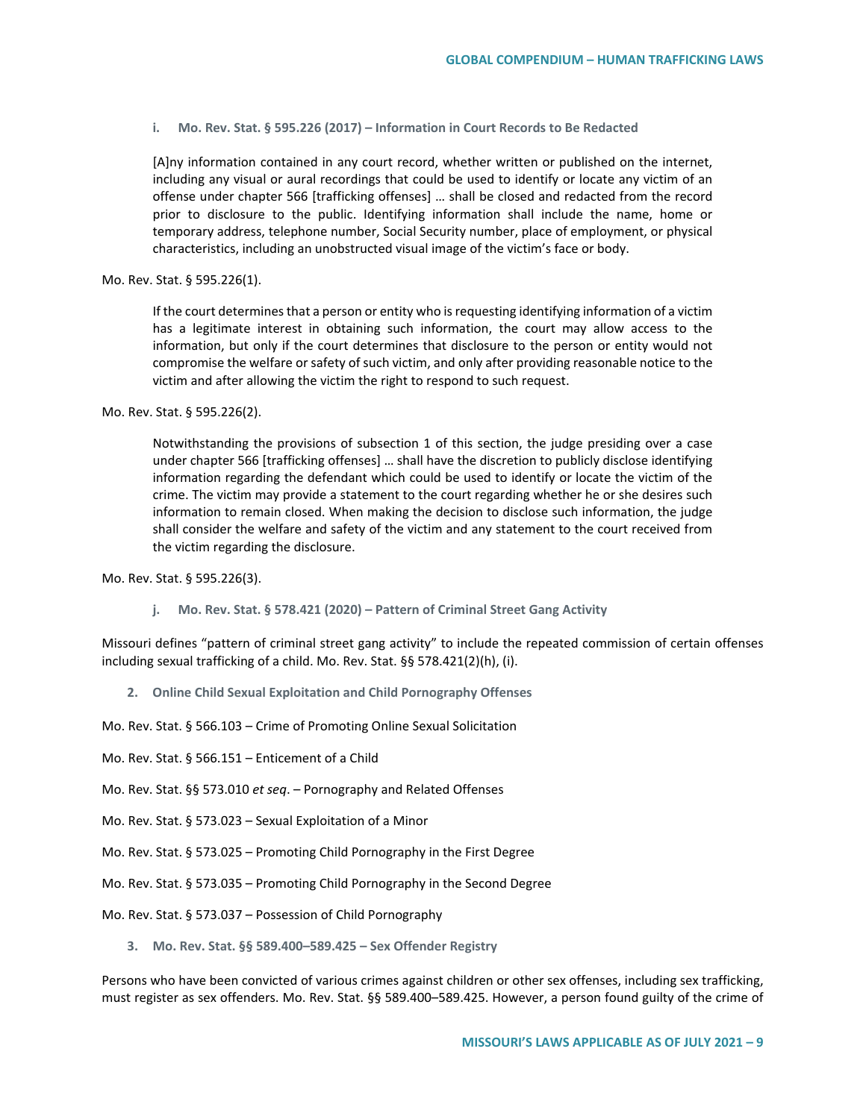#### **i. Mo. Rev. Stat. § 595.226 (2017) – Information in Court Records to Be Redacted**

[A]ny information contained in any court record, whether written or published on the internet, including any visual or aural recordings that could be used to identify or locate any victim of an offense under chapter 566 [trafficking offenses] … shall be closed and redacted from the record prior to disclosure to the public. Identifying information shall include the name, home or temporary address, telephone number, Social Security number, place of employment, or physical characteristics, including an unobstructed visual image of the victim's face or body.

Mo. Rev. Stat. § 595.226(1).

If the court determines that a person or entity who is requesting identifying information of a victim has a legitimate interest in obtaining such information, the court may allow access to the information, but only if the court determines that disclosure to the person or entity would not compromise the welfare or safety of such victim, and only after providing reasonable notice to the victim and after allowing the victim the right to respond to such request.

Mo. Rev. Stat. § 595.226(2).

Notwithstanding the provisions of subsection 1 of this section, the judge presiding over a case under chapter 566 [trafficking offenses] … shall have the discretion to publicly disclose identifying information regarding the defendant which could be used to identify or locate the victim of the crime. The victim may provide a statement to the court regarding whether he or she desires such information to remain closed. When making the decision to disclose such information, the judge shall consider the welfare and safety of the victim and any statement to the court received from the victim regarding the disclosure.

Mo. Rev. Stat. § 595.226(3).

**j. Mo. Rev. Stat. § 578.421 (2020) – Pattern of Criminal Street Gang Activity**

Missouri defines "pattern of criminal street gang activity" to include the repeated commission of certain offenses including sexual trafficking of a child. Mo. Rev. Stat. §§ 578.421(2)(h), (i).

**2. Online Child Sexual Exploitation and Child Pornography Offenses**

Mo. Rev. Stat. § 566.103 – Crime of Promoting Online Sexual Solicitation

- Mo. Rev. Stat. § 566.151 Enticement of a Child
- Mo. Rev. Stat. §§ 573.010 *et seq*. Pornography and Related Offenses
- Mo. Rev. Stat. § 573.023 Sexual Exploitation of a Minor
- Mo. Rev. Stat. § 573.025 Promoting Child Pornography in the First Degree
- Mo. Rev. Stat. § 573.035 Promoting Child Pornography in the Second Degree
- Mo. Rev. Stat. § 573.037 Possession of Child Pornography
	- **3. Mo. Rev. Stat. §§ 589.400–589.425 – Sex Offender Registry**

Persons who have been convicted of various crimes against children or other sex offenses, including sex trafficking, must register as sex offenders. Mo. Rev. Stat. §§ 589.400–589.425. However, a person found guilty of the crime of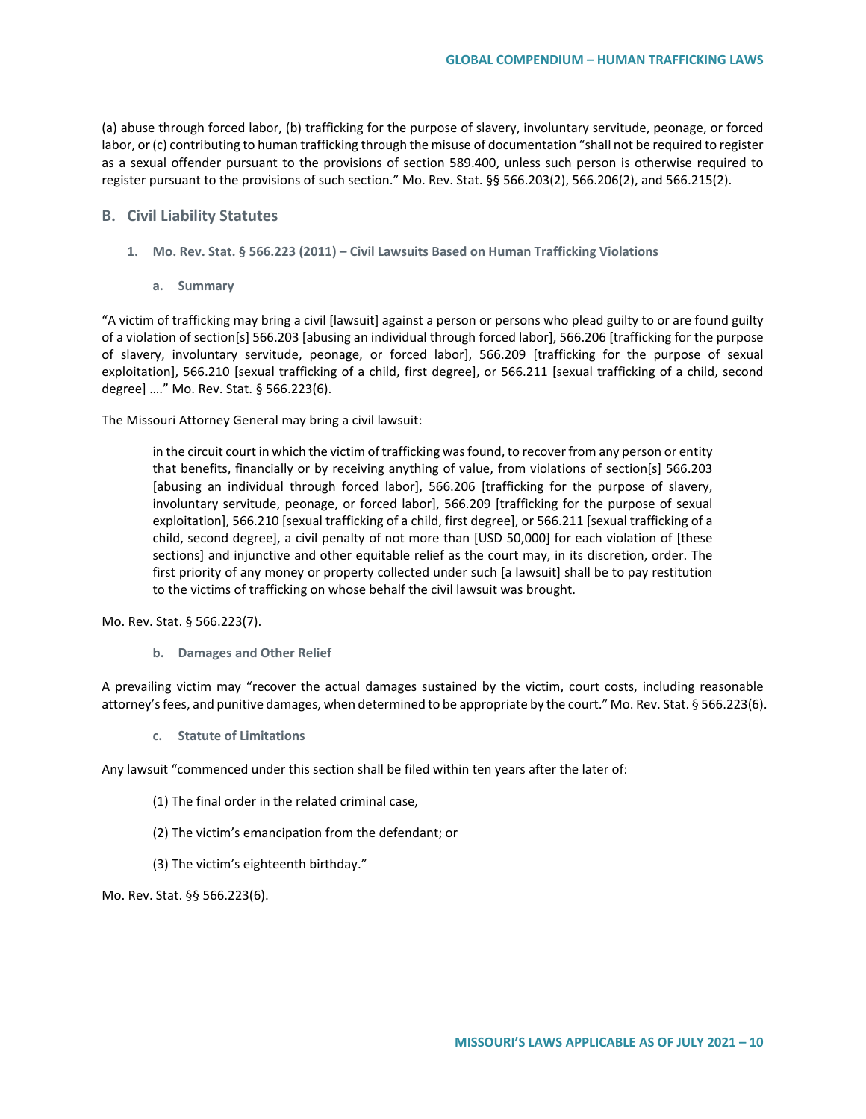(a) abuse through forced labor, (b) trafficking for the purpose of slavery, involuntary servitude, peonage, or forced labor, or (c) contributing to human trafficking through the misuse of documentation "shall not be required to register as a sexual offender pursuant to the provisions of section 589.400, unless such person is otherwise required to register pursuant to the provisions of such section." Mo. Rev. Stat. §§ 566.203(2), 566.206(2), and 566.215(2).

## **B. Civil Liability Statutes**

- **1. Mo. Rev. Stat. § 566.223 (2011) – Civil Lawsuits Based on Human Trafficking Violations** 
	- **a. Summary**

"A victim of trafficking may bring a civil [lawsuit] against a person or persons who plead guilty to or are found guilty of a violation of section[s] 566.203 [abusing an individual through forced labor], 566.206 [trafficking for the purpose of slavery, involuntary servitude, peonage, or forced labor], 566.209 [trafficking for the purpose of sexual exploitation], 566.210 [sexual trafficking of a child, first degree], or 566.211 [sexual trafficking of a child, second degree] …." Mo. Rev. Stat. § 566.223(6).

The Missouri Attorney General may bring a civil lawsuit:

in the circuit court in which the victim of trafficking was found, to recover from any person or entity that benefits, financially or by receiving anything of value, from violations of section[s] 566.203 [abusing an individual through forced labor], 566.206 [trafficking for the purpose of slavery, involuntary servitude, peonage, or forced labor], 566.209 [trafficking for the purpose of sexual exploitation], 566.210 [sexual trafficking of a child, first degree], or 566.211 [sexual trafficking of a child, second degree], a civil penalty of not more than [USD 50,000] for each violation of [these sections] and injunctive and other equitable relief as the court may, in its discretion, order. The first priority of any money or property collected under such [a lawsuit] shall be to pay restitution to the victims of trafficking on whose behalf the civil lawsuit was brought.

Mo. Rev. Stat. § 566.223(7).

**b. Damages and Other Relief**

A prevailing victim may "recover the actual damages sustained by the victim, court costs, including reasonable attorney's fees, and punitive damages, when determined to be appropriate by the court." Mo. Rev. Stat. § 566.223(6).

**c. Statute of Limitations**

Any lawsuit "commenced under this section shall be filed within ten years after the later of:

- (1) The final order in the related criminal case,
- (2) The victim's emancipation from the defendant; or
- (3) The victim's eighteenth birthday."

Mo. Rev. Stat. §§ 566.223(6).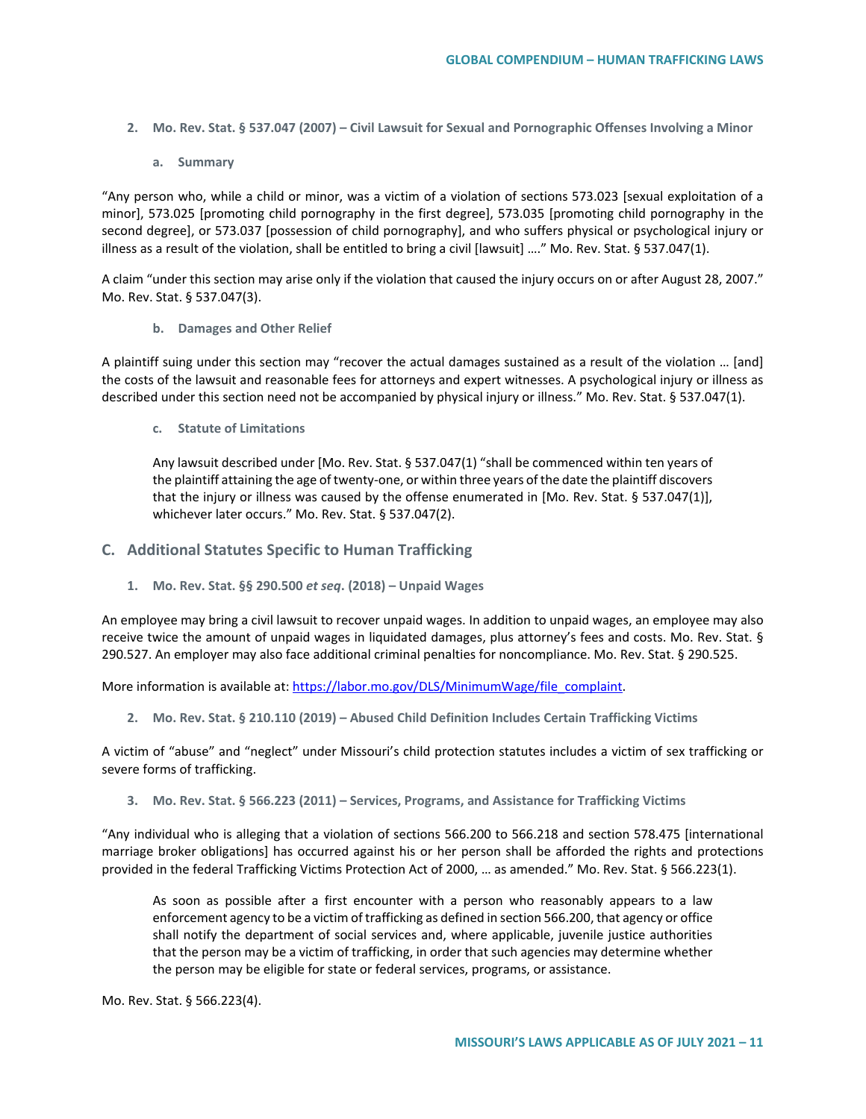- **2. Mo. Rev. Stat. § 537.047 (2007) – Civil Lawsuit for Sexual and Pornographic Offenses Involving a Minor**
	- **a. Summary**

"Any person who, while a child or minor, was a victim of a violation of sections 573.023 [sexual exploitation of a minor], 573.025 [promoting child pornography in the first degree], 573.035 [promoting child pornography in the second degree], or 573.037 [possession of child pornography], and who suffers physical or psychological injury or illness as a result of the violation, shall be entitled to bring a civil [lawsuit] …." Mo. Rev. Stat. § 537.047(1).

A claim "under this section may arise only if the violation that caused the injury occurs on or after August 28, 2007." Mo. Rev. Stat. § 537.047(3).

**b. Damages and Other Relief**

A plaintiff suing under this section may "recover the actual damages sustained as a result of the violation … [and] the costs of the lawsuit and reasonable fees for attorneys and expert witnesses. A psychological injury or illness as described under this section need not be accompanied by physical injury or illness." Mo. Rev. Stat. § 537.047(1).

**c. Statute of Limitations**

Any lawsuit described under [Mo. Rev. Stat. § 537.047(1) "shall be commenced within ten years of the plaintiff attaining the age of twenty-one, or within three years of the date the plaintiff discovers that the injury or illness was caused by the offense enumerated in [Mo. Rev. Stat. § 537.047(1)], whichever later occurs." Mo. Rev. Stat. § 537.047(2).

## **C. Additional Statutes Specific to Human Trafficking**

**1. Mo. Rev. Stat. §§ 290.500** *et seq***. (2018) – Unpaid Wages**

An employee may bring a civil lawsuit to recover unpaid wages. In addition to unpaid wages, an employee may also receive twice the amount of unpaid wages in liquidated damages, plus attorney's fees and costs. Mo. Rev. Stat. § 290.527. An employer may also face additional criminal penalties for noncompliance. Mo. Rev. Stat. § 290.525.

More information is available at: [https://labor.mo.gov/DLS/MinimumWage/file\\_complaint.](https://labor.mo.gov/DLS/MinimumWage/file_complaint)

**2. Mo. Rev. Stat. § 210.110 (2019) – Abused Child Definition Includes Certain Trafficking Victims** 

A victim of "abuse" and "neglect" under Missouri's child protection statutes includes a victim of sex trafficking or severe forms of trafficking.

**3. Mo. Rev. Stat. § 566.223 (2011) – Services, Programs, and Assistance for Trafficking Victims** 

"Any individual who is alleging that a violation of sections 566.200 to 566.218 and section 578.475 [international marriage broker obligations] has occurred against his or her person shall be afforded the rights and protections provided in the federal Trafficking Victims Protection Act of 2000, … as amended." Mo. Rev. Stat. § 566.223(1).

As soon as possible after a first encounter with a person who reasonably appears to a law enforcement agency to be a victim of trafficking as defined in section 566.200, that agency or office shall notify the department of social services and, where applicable, juvenile justice authorities that the person may be a victim of trafficking, in order that such agencies may determine whether the person may be eligible for state or federal services, programs, or assistance.

Mo. Rev. Stat. § 566.223(4).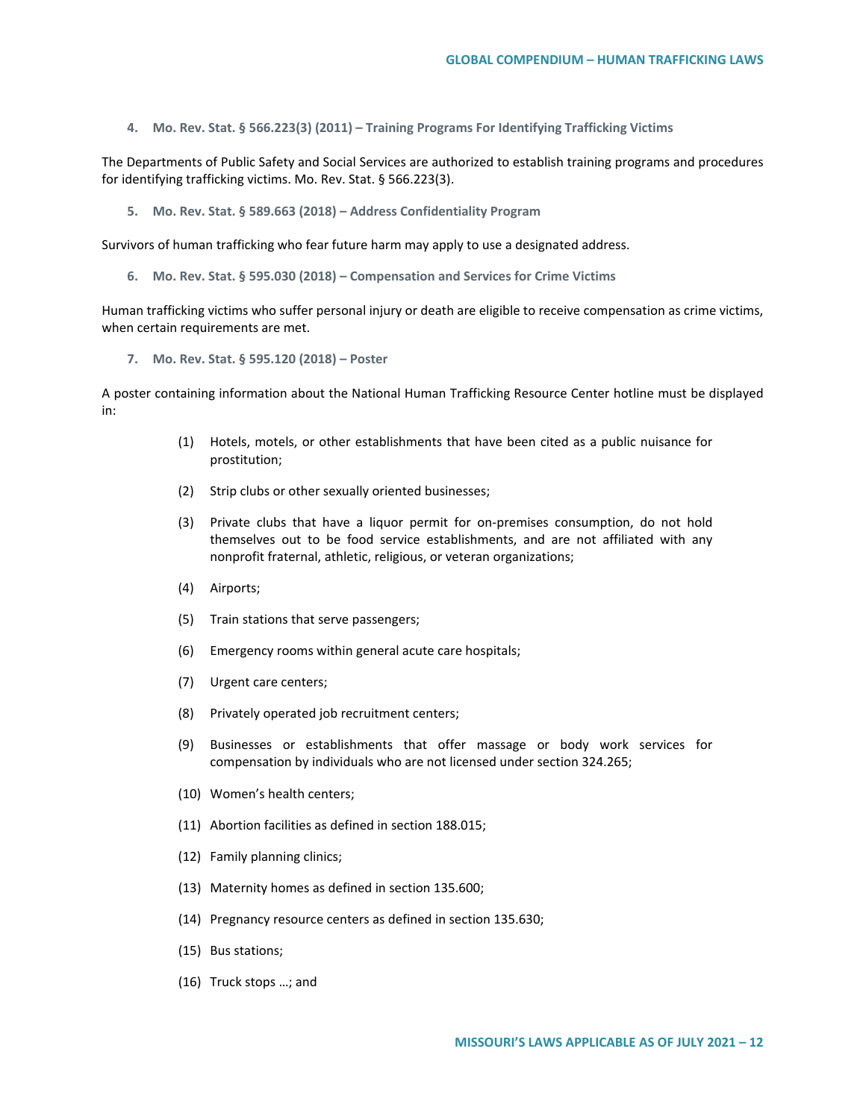**4. Mo. Rev. Stat. § 566.223(3) (2011) – Training Programs For Identifying Trafficking Victims**

The Departments of Public Safety and Social Services are authorized to establish training programs and procedures for identifying trafficking victims. Mo. Rev. Stat. § 566.223(3).

**5. Mo. Rev. Stat. § 589.663 (2018) – Address Confidentiality Program**

Survivors of human trafficking who fear future harm may apply to use a designated address.

**6. Mo. Rev. Stat. § 595.030 (2018) – Compensation and Services for Crime Victims**

Human trafficking victims who suffer personal injury or death are eligible to receive compensation as crime victims, when certain requirements are met.

**7. Mo. Rev. Stat. § 595.120 (2018) – Poster** 

A poster containing information about the National Human Trafficking Resource Center hotline must be displayed in:

- (1) Hotels, motels, or other establishments that have been cited as a public nuisance for prostitution;
- (2) Strip clubs or other sexually oriented businesses;
- (3) Private clubs that have a liquor permit for on-premises consumption, do not hold themselves out to be food service establishments, and are not affiliated with any nonprofit fraternal, athletic, religious, or veteran organizations;
- (4) Airports;
- (5) Train stations that serve passengers;
- (6) Emergency rooms within general acute care hospitals;
- (7) Urgent care centers;
- (8) Privately operated job recruitment centers;
- (9) Businesses or establishments that offer massage or body work services for compensation by individuals who are not licensed under section 324.265;
- (10) Women's health centers;
- (11) Abortion facilities as defined in section 188.015;
- (12) Family planning clinics;
- (13) Maternity homes as defined in section 135.600;
- (14) Pregnancy resource centers as defined in section 135.630;
- (15) Bus stations;
- (16) Truck stops …; and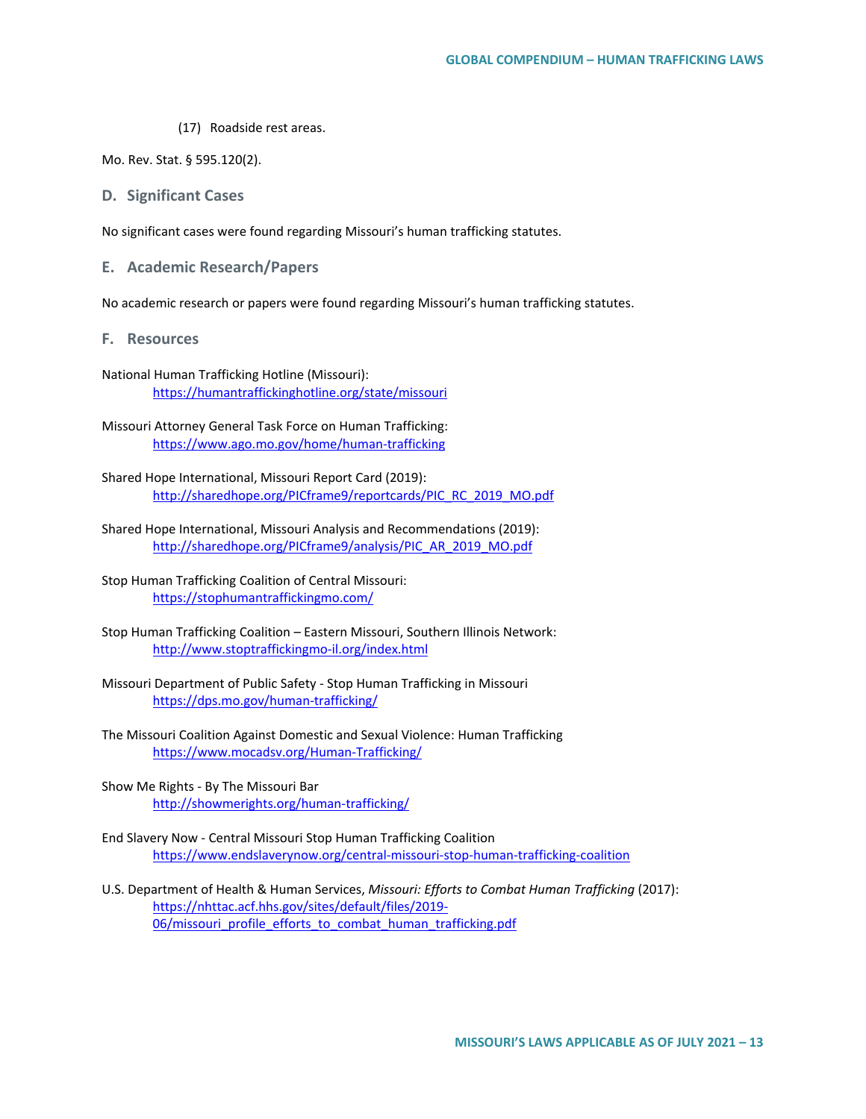(17) Roadside rest areas.

Mo. Rev. Stat. § 595.120(2).

## **D. Significant Cases**

No significant cases were found regarding Missouri's human trafficking statutes.

**E. Academic Research/Papers**

No academic research or papers were found regarding Missouri's human trafficking statutes.

- **F. Resources**
- National Human Trafficking Hotline (Missouri): <https://humantraffickinghotline.org/state/missouri>
- Missouri Attorney General Task Force on Human Trafficking: <https://www.ago.mo.gov/home/human-trafficking>
- Shared Hope International, Missouri Report Card (2019): [http://sharedhope.org/PICframe9/reportcards/PIC\\_RC\\_2019\\_MO.pdf](http://sharedhope.org/PICframe9/reportcards/PIC_RC_2019_MO.pdf)
- Shared Hope International, Missouri Analysis and Recommendations (2019): [http://sharedhope.org/PICframe9/analysis/PIC\\_AR\\_2019\\_MO.pdf](http://sharedhope.org/PICframe9/analysis/PIC_AR_2019_MO.pdf)
- Stop Human Trafficking Coalition of Central Missouri: <https://stophumantraffickingmo.com/>
- Stop Human Trafficking Coalition Eastern Missouri, Southern Illinois Network: <http://www.stoptraffickingmo-il.org/index.html>
- Missouri Department of Public Safety Stop Human Trafficking in Missouri <https://dps.mo.gov/human-trafficking/>
- The Missouri Coalition Against Domestic and Sexual Violence: Human Trafficking <https://www.mocadsv.org/Human-Trafficking/>
- Show Me Rights By The Missouri Bar <http://showmerights.org/human-trafficking/>
- End Slavery Now Central Missouri Stop Human Trafficking Coalition <https://www.endslaverynow.org/central-missouri-stop-human-trafficking-coalition>
- U.S. Department of Health & Human Services, *Missouri: Efforts to Combat Human Trafficking* (2017): [https://nhttac.acf.hhs.gov/sites/default/files/2019-](https://nhttac.acf.hhs.gov/sites/default/files/2019-06/missouri_profile_efforts_to_combat_human_trafficking.pdf) [06/missouri\\_profile\\_efforts\\_to\\_combat\\_human\\_trafficking.pdf](https://nhttac.acf.hhs.gov/sites/default/files/2019-06/missouri_profile_efforts_to_combat_human_trafficking.pdf)